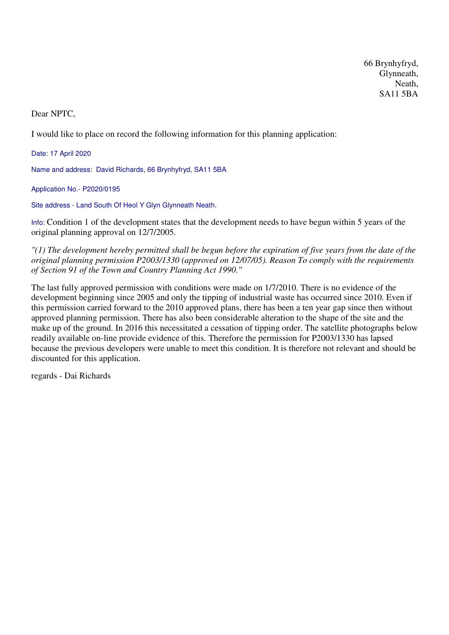66 Brynhyfryd, Glynneath, Neath, SA11 5BA

Dear NPTC,

I would like to place on record the following information for this planning application:

Date: 17 April 2020

Name and address: David Richards, 66 Brynhyfryd, SA11 5BA

Application No.- P2020/0195

Site address - Land South Of Heol Y Glyn Glynneath Neath.

Info: Condition 1 of the development states that the development needs to have begun within 5 years of the original planning approval on 12/7/2005.

*"(1) The development hereby permitted shall be begun before the expiration of five years from the date of the original planning permission P2003/1330 (approved on 12/07/05). Reason To comply with the requirements of Section 91 of the Town and Country Planning Act 1990."*

The last fully approved permission with conditions were made on 1/7/2010. There is no evidence of the development beginning since 2005 and only the tipping of industrial waste has occurred since 2010. Even if this permission carried forward to the 2010 approved plans, there has been a ten year gap since then without approved planning permission. There has also been considerable alteration to the shape of the site and the make up of the ground. In 2016 this necessitated a cessation of tipping order. The satellite photographs below readily available on-line provide evidence of this. Therefore the permission for P2003/1330 has lapsed because the previous developers were unable to meet this condition. It is therefore not relevant and should be discounted for this application.

regards - Dai Richards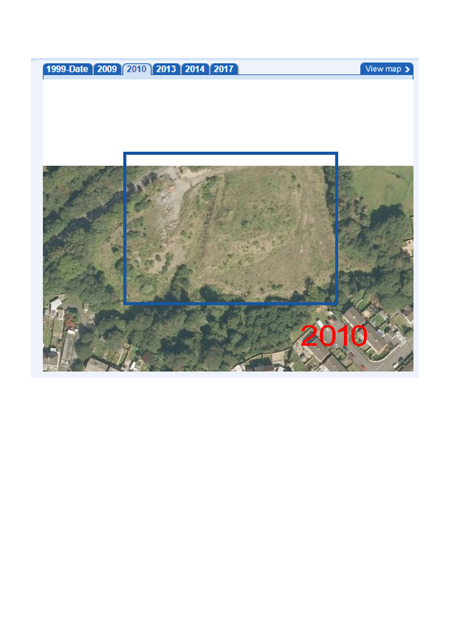